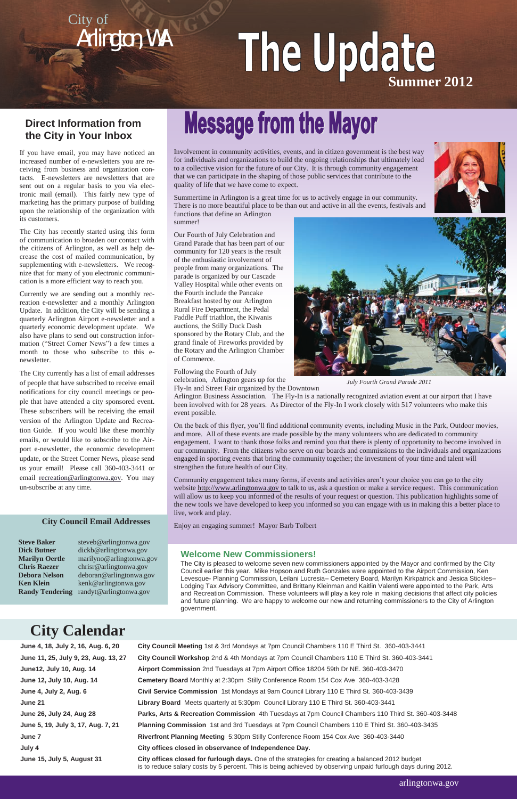Involvement in community activities, events, and in citizen government is the best way for individuals and organizations to build the ongoing relationships that ultimately lead to a collective vision for the future of our City. It is through community engagement that we can participate in the shaping of those public services that contribute to the quality of life that we have come to expect.

Summertime in Arlington is a great time for us to actively engage in our community. There is no more beautiful place to be than out and active in all the events, festivals and

functions that define an Arlington summer!

Our Fourth of July Celebration and Grand Parade that has been part of our community for 120 years is the result of the enthusiastic involvement of people from many organizations. The parade is organized by our Cascade Valley Hospital while other events on the Fourth include the Pancake Breakfast hosted by our Arlington Rural Fire Department, the Pedal Paddle Puff triathlon, the Kiwanis auctions, the Stilly Duck Dash sponsored by the Rotary Club, and the grand finale of Fireworks provided by the Rotary and the Arlington Chamber of Commerce.

Following the Fourth of July

celebration, Arlington gears up for the Fly-In and Street Fair organized by the Downtown

Arlington Business Association. The Fly-In is a nationally recognized aviation event at our airport that I have been involved with for 28 years. As Director of the Fly-In I work closely with 517 volunteers who make this event possible.

On the back of this flyer, you'll find additional community events, including Music in the Park, Outdoor movies, and more. All of these events are made possible by the many volunteers who are dedicated to community engagement. I want to thank those folks and remind you that there is plenty of opportunity to become involved in our community. From the citizens who serve on our boards and commissions to the individuals and organizations engaged in sporting events that bring the community together; the investment of your time and talent will strengthen the future health of our City.

Community engagement takes many forms, if events and activities aren't your choice you can go to the city website http:/[/www.arlingtonwa.gov](http://www.arlingtonwa.gov) to talk to us, ask a question or make a service request. This communication will allow us to keep you informed of the results of your request or question. This publication highlights some of the new tools we have developed to keep you informed so you can engage with us in making this a better place to live, work and play.

**City Council Email Addresses** Enjoy an engaging summer! Mayor Barb Tolbert

**Steve Baker Dick Butner Marilyn Oertle Chris Raezer Debora Nelson Ken Klein** 

arlingtonwa.gov

| June 4, 18, July 2, 16, Aug. 6, 20   | City Council Meeting 1st & 3rd Mondays at 7pm Council Chambers 110 E Third St. 360-403-3441                                                                                                                       |
|--------------------------------------|-------------------------------------------------------------------------------------------------------------------------------------------------------------------------------------------------------------------|
| June 11, 25, July 9, 23, Aug. 13, 27 | City Council Workshop 2nd & 4th Mondays at 7pm Council Chambers 110 E Third St. 360-403-3441                                                                                                                      |
| June 12, July 10, Aug. 14            | Airport Commission 2nd Tuesdays at 7pm Airport Office 18204 59th Dr NE. 360-403-3470                                                                                                                              |
| June 12, July 10, Aug. 14            | Cemetery Board Monthly at 2:30pm Stilly Conference Room 154 Cox Ave 360-403-3428                                                                                                                                  |
| <b>June 4, July 2, Aug. 6</b>        | Civil Service Commission 1st Mondays at 9am Council Library 110 E Third St. 360-403-3439                                                                                                                          |
| June 21                              | Library Board Meets quarterly at 5:30pm Council Library 110 E Third St. 360-403-3441                                                                                                                              |
| June 26, July 24, Aug 28             | Parks, Arts & Recreation Commission 4th Tuesdays at 7pm Council Chambers 110 Third St. 360-403-3448                                                                                                               |
| June 5, 19, July 3, 17, Aug. 7, 21   | Planning Commission 1st and 3rd Tuesdays at 7pm Council Chambers 110 E Third St. 360-403-3435                                                                                                                     |
| June 7                               | Riverfront Planning Meeting 5:30pm Stilly Conference Room 154 Cox Ave 360-403-3440                                                                                                                                |
| July 4                               | City offices closed in observance of Independence Day.                                                                                                                                                            |
| June 15, July 5, August 31           | City offices closed for furlough days. One of the strategies for creating a balanced 2012 budget<br>is to reduce salary costs by 5 percent. This is being achieved by observing unpaid furlough days during 2012. |

# **City Calendar**

City of

Arlington, WA

# The Update

#### **Direct Information from the City in Your Inbox**

If you have email, you may have noticed an increased number of e-newsletters you are receiving from business and organization contacts. E-newsletters are newsletters that are sent out on a regular basis to you via electronic mail (email). This fairly new type of marketing has the primary purpose of building upon the relationship of the organization with its customers.

#### **Randy Tendering**  randyt@arlingtonwa.gov

The City has recently started using this form of communication to broaden our contact with the citizens of Arlington, as well as help decrease the cost of mailed communication, by supplementing with e-newsletters. We recognize that for many of you electronic communication is a more efficient way to reach you.

Currently we are sending out a monthly recreation e-newsletter and a monthly Arlington Update. In addition, the City will be sending a quarterly Arlington Airport e-newsletter and a quarterly economic development update. We also have plans to send out construction information ("Street Corner News") a few times a month to those who subscribe to this enewsletter.

The City currently has a list of email addresses of people that have subscribed to receive email notifications for city council meetings or people that have attended a city sponsored event. These subscribers will be receiving the email version of the Arlington Update and Recreation Guide. If you would like these monthly emails, or would like to subscribe to the Airport e-newsletter, the economic development update, or the Street Corner News, please send us your email! Please call 360-403-3441 or email [recreation@arlingtonwa.gov.](mailto:slopez@arlingtonwa.gov) You may un-subscribe at any time.

#### **Welcome New Commissioners!**

The City is pleased to welcome seven new commissioners appointed by the Mayor and confirmed by the City Council earlier this year. Mike Hopson and Ruth Gonzales were appointed to the Airport Commission, Ken Levesque- Planning Commission, Leilani Lucresia– Cemetery Board, Marilyn Kirkpatrick and Jesica Stickles– Lodging Tax Advisory Committee, and Brittany Kleinman and Kaitlin Valenti were appointed to the Park, Arts and Recreation Commission. These volunteers will play a key role in making decisions that affect city policies and future planning. We are happy to welcome our new and returning commissioners to the City of Arlington government.

steveb@arlingtonwa.gov dickb@arlingtonwa.gov marilyno@arlingtonwa.gov chrisr@arlingtonwa.gov deboran@arlingtonwa.gov kenk@arlingtonwa.gov

# **Message from the Mayor**

*July Fourth Grand Parade 2011*

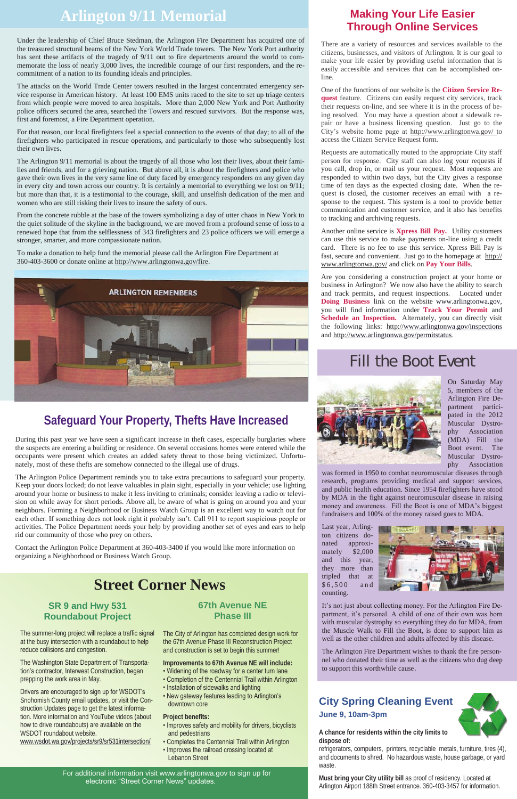# **Street Corner News**

There are a variety of resources and services available to the citizens, businesses, and visitors of Arlington. It is our goal to make your life easier by providing useful information that is easily accessible and services that can be accomplished online.

One of the functions of our website is the **Citizen Service Request** feature. Citizens can easily request city services, track their requests on-line, and see where it is in the process of being resolved. You may have a question about a sidewalk repair or have a business licensing question. Just go to the City's website home page at http://www.arlingtonwa.gov/ to access the Citizen Service Request form.

Requests are automatically routed to the appropriate City staff person for response. City staff can also log your requests if you call, drop in, or mail us your request. Most requests are responded to within two days, but the City gives a response time of ten days as the expected closing date. When the request is closed, the customer receives an email with a response to the request. This system is a tool to provide better communication and customer service, and it also has benefits to tracking and archiving requests.

Another online service is **Xpress Bill Pay.** Utility customers can use this service to make payments on-line using a credit card. There is no fee to use this service. Xpress Bill Pay is fast, secure and convenient. Just go to the homepage at http:// www.arlingtonwa.gov/ and click on **Pay Your Bills**.

Are you considering a construction project at your home or business in Arlington? We now also have the ability to search and track permits, and request inspections. Located under **Doing Business** link on the website [www.arlingtonwa.gov,](http://www.arlingtonwa.gov)  you will find information under **Track Your Permit** and Schedule an Inspection. Alternately, you can directly visit the following links: http://[www.arlingtonwa.gov/inspections](http://www.arlingtonwa.gov/inspections) and http:/[/www.arlingtonwa.gov/permitstatus.](http://www.arlingtonwa.gov/permitstatus)

Under the leadership of Chief Bruce Stedman, the Arlington Fire Department has acquired one of the treasured structural beams of the New York World Trade towers. The New York Port authority has sent these artifacts of the tragedy of 9/11 out to fire departments around the world to commemorate the loss of nearly 3,000 lives, the incredible courage of our first responders, and the recommitment of a nation to its founding ideals and principles.

The attacks on the World Trade Center towers resulted in the largest concentrated emergency service response in American history. At least 100 EMS units raced to the site to set up triage centers from which people were moved to area hospitals. More than 2,000 New York and Port Authority police officers secured the area, searched the Towers and rescued survivors. But the response was, first and foremost, a Fire Department operation.

The summer-long project will replace a traffic signal at the busy intersection with a roundabout to help reduce collisions and congestion.

For that reason, our local firefighters feel a special connection to the events of that day; to all of the firefighters who participated in rescue operations, and particularly to those who subsequently lost their own lives.

The Arlington 9/11 memorial is about the tragedy of all those who lost their lives, about their families and friends, and for a grieving nation. But above all, it is about the firefighters and police who gave their own lives in the very same line of duty faced by emergency responders on any given day in every city and town across our country. It is certainly a memorial to everything we lost on 9/11; but more than that, it is a testimonial to the courage, skill, and unselfish dedication of the men and women who are still risking their lives to insure the safety of ours.

From the concrete rubble at the base of the towers symbolizing a day of utter chaos in New York to the quiet solitude of the skyline in the background, we are moved from a profound sense of loss to a renewed hope that from the selflessness of 343 firefighters and 23 police officers we will emerge a stronger, smarter, and more compassionate nation.

> Last year, Arlington citizens donated approximately \$2,000 and this year, they more than tripled that at  $$6,500$  and

To make a donation to help fund the memorial please call the Arlington Fire Department at 360-403-3600 or donate online at http://www.arlingtonwa.gov/fire.



### **Making Your Life Easier Through Online Services**

During this past year we have seen a significant increase in theft cases, especially burglaries where the suspects are entering a building or residence. On several occasions homes were entered while the occupants were present which creates an added safety threat to those being victimized. Unfortunately, most of these thefts are somehow connected to the illegal use of drugs.

The Arlington Police Department reminds you to take extra precautions to safeguard your property. Keep your doors locked; do not leave valuables in plain sight, especially in your vehicle; use lighting around your home or business to make it less inviting to criminals; consider leaving a radio or television on while away for short periods. Above all, be aware of what is going on around you and your neighbors. Forming a Neighborhood or Business Watch Group is an excellent way to watch out for each other. If something does not look right it probably isn't. Call 911 to report suspicious people or activities. The Police Department needs your help by providing another set of eyes and ears to help rid our community of those who prey on others.

Contact the Arlington Police Department at 360-403-3400 if you would like more information on organizing a Neighborhood or Business Watch Group.

# **Safeguard Your Property, Thefts Have Increased**

#### **SR 9 and Hwy 531 Roundabout Project**

The Washington State Department of Transportation's contractor, Interwest Construction, began prepping the work area in May.

Drivers are encouraged to sign up for WSDOT's

Snohomish County email updates, or visit the Construction Updates page to get the latest information. More information and YouTube videos (about how to drive roundabouts) are available on the WSDOT roundabout website.

[www.wsdot.wa.gov/projects/sr9/sr531intersection/](http://www.wsdot.wa.gov/projects/sr9/sr531intersection/)

#### **67th Avenue NE Phase III**

The City of Arlington has completed design work for the 67th Avenue Phase III Reconstruction Project and construction is set to begin this summer!

**Improvements to 67th Avenue NE will include:**

- Widening of the roadway for a center turn lane
- Completion of the Centennial Trail within Arlington
- Installation of sidewalks and lighting
- New gateway features leading to Arlington's downtown core

**Project benefits:**

- Improves safety and mobility for drivers, bicyclists and pedestrians
- Completes the Centennial Trail within Arlington
- Improves the railroad crossing located at Lebanon Street

 For additional information visit www.arlingtonwa.gov to sign up for electronic "Street Corner News" updates.

**A chance for residents within the city limits to dispose of:** 

refrigerators, computers, printers, recyclable metals, furniture, tires (4), and documents to shred. No hazardous waste, house garbage, or yard waste.

#### **City Spring Cleaning Event June 9, 10am-3pm**



**Must bring your City utility bill** as proof of residency. Located at Arlington Airport 188th Street entrance. 360-403-3457 for information.

On Saturday May 5, members of the Arlington Fire Department participated in the 2012 Muscular Dystrophy Association (MDA) Fill the Boot event. The Muscular Dystrophy Association

was formed in 1950 to combat neuromuscular diseases through research, programs providing medical and support services, and public health education. Since 1954 firefighters have stood by MDA in the fight against neuromuscular disease in raising money and awareness. Fill the Boot is one of MDA's biggest fundraisers and 100% of the money raised goes to MDA.

counting.



It's not just about collecting money. For the Arlington Fire Department, it's personal. A child of one of their own was born with muscular dystrophy so everything they do for MDA, from the Muscle Walk to Fill the Boot, is done to support him as well as the other children and adults affected by this disease.

The Arlington Fire Department wishes to thank the fire personnel who donated their time as well as the citizens who dug deep to support this worthwhile cause.

# **Fill the Boot Event**



# **Arlington 9/11 Memorial**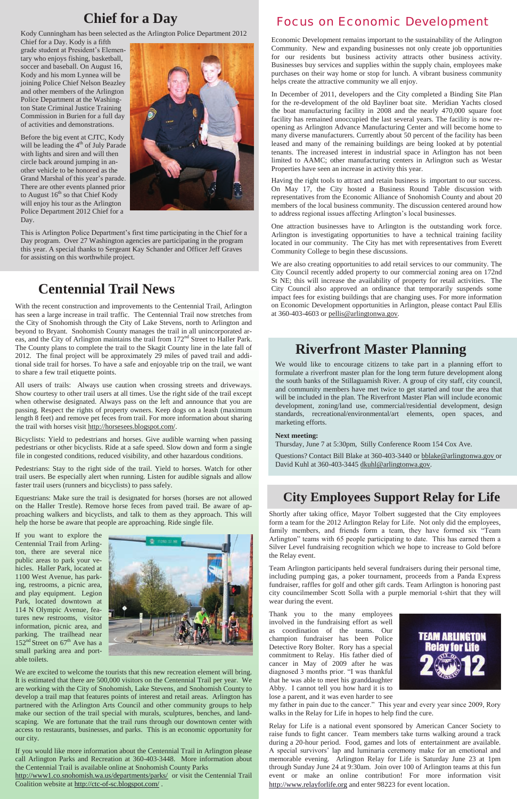### Focus on Economic Development

Economic Development remains important to the sustainability of the Arlington Community. New and expanding businesses not only create job opportunities for our residents but business activity attracts other business activity. Businesses buy services and supplies within the supply chain, employees make purchases on their way home or stop for lunch. A vibrant business community helps create the attractive community we all enjoy.

In December of 2011, developers and the City completed a Binding Site Plan for the re-development of the old Bayliner boat site. Meridian Yachts closed the boat manufacturing facility in 2008 and the nearly 470,000 square foot facility has remained unoccupied the last several years. The facility is now reopening as Arlington Advance Manufacturing Center and will become home to many diverse manufacturers. Currently about 50 percent of the facility has been leased and many of the remaining buildings are being looked at by potential tenants. The increased interest in industrial space in Arlington has not been limited to AAMC; other manufacturing centers in Arlington such as Westar Properties have seen an increase in activity this year.

Having the right tools to attract and retain business is important to our success. On May 17, the City hosted a Business Round Table discussion with representatives from the Economic Alliance of Snohomish County and about 20 members of the local business community. The discussion centered around how to address regional issues affecting Arlington's local businesses.

One attraction businesses have to Arlington is the outstanding work force. Arlington is investigating opportunities to have a technical training facility located in our community. The City has met with representatives from Everett Community College to begin these discussions.

We are also creating opportunities to add retail services to our community. The City Council recently added property to our commercial zoning area on 172nd St NE; this will increase the availability of property for retail activities. The City Council also approved an ordinance that temporarily suspends some impact fees for existing buildings that are changing uses. For more information on Economic Development opportunities in Arlington, please contact Paul Ellis at 360-403-4603 or pellis@arlingtonwa.gov.

## **Chief for a Day**

Kody Cunningham has been selected as the Arlington Police Department 2012

Chief for a Day. Kody is a fifth grade student at President's Elementary who enjoys fishing, basketball, soccer and baseball. On August 16, Kody and his mom Lynnea will be joining Police Chief Nelson Beazley and other members of the Arlington Police Department at the Washington State Criminal Justice Training Commission in Burien for a full day of activities and demonstrations.

Before the big event at CJTC, Kody will be leading the  $4<sup>th</sup>$  of July Parade with lights and siren and will then circle back around jumping in another vehicle to be honored as the Grand Marshal of this year's parade. There are other events planned prior to August  $16<sup>th</sup>$  so that Chief Kody will enjoy his tour as the Arlington Police Department 2012 Chief for a Day.



This is Arlington Police Department's first time participating in the Chief for a Day program. Over 27 Washington agencies are participating in the program this year. A special thanks to Sergeant Kay Schander and Officer Jeff Graves for assisting on this worthwhile project.

> We would like to encourage citizens to take part in a planning effort to formulate a riverfront master plan for the long term future development along the south banks of the Stillaguamish River. A group of city staff, city council, and community members have met twice to get started and tour the area that will be included in the plan. The Riverfront Master Plan will include economic development, zoning/land use, commercial/residential development, design standards, recreational/environmental/art elements, open spaces, and marketing efforts.

#### **Next meeting:**

Thursday, June 7 at 5:30pm, Stilly Conference Room 154 Cox Ave.

Questions? Contact Bill Blake at 360-403-3440 or bblake@arlingtonwa.gov\_or David Kuhl at 360-403-3445 dkuhl@arlingtonwa.gov.

## **Riverfront Master Planning**

Shortly after taking office, Mayor Tolbert suggested that the City employees form a team for the 2012 Arlington Relay for Life. Not only did the employees, family members, and friends form a team, they have formed six "Team Arlington" teams with 65 people participating to date. This has earned them a Silver Level fundraising recognition which we hope to increase to Gold before the Relay event.

Team Arlington participants held several fundraisers during their personal time, including pumping gas, a poker tournament, proceeds from a Panda Express fundraiser, raffles for golf and other gift cards. Team Arlington is honoring past city councilmember Scott Solla with a purple memorial t-shirt that they will wear during the event.

Thank you to the many employees involved in the fundraising effort as well as coordination of the teams. Our champion fundraiser has been Police Detective Rory Bolter. Rory has a special commitment to Relay. His father died of cancer in May of 2009 after he was diagnosed 3 months prior. "I was thankful that he was able to meet his granddaughter Abby. I cannot tell you how hard it is to lose a parent, and it was even harder to see



my father in pain due to the cancer." This year and every year since 2009, Rory walks in the Relay for Life in hopes to help find the cure.

Relay for Life is a national event sponsored by American Cancer Society to raise funds to fight cancer. Team members take turns walking around a track during a 20-hour period. Food, games and lots of entertainment are available. A special survivors' lap and luminaria ceremony make for an emotional and memorable evening. Arlington Relay for Life is Saturday June 23 at 1pm through Sunday June 24 at 9:30am. Join over 100 of Arlington teams at this fun event or make an online contribution! For more information visit <http://www.relayforlife.org> and enter 98223 for event location.

#### **City Employees Support Relay for Life**

With the recent construction and improvements to the Centennial Trail, Arlington has seen a large increase in trail traffic. The Centennial Trail now stretches from the City of Snohomish through the City of Lake Stevens, north to Arlington and beyond to Bryant. Snohomish County manages the trail in all unincorporated areas, and the City of Arlington maintains the trail from 172<sup>nd</sup> Street to Haller Park. The County plans to complete the trail to the Skagit County line in the late fall of 2012. The final project will be approximately 29 miles of paved trail and additional side trail for horses. To have a safe and enjoyable trip on the trail, we want to share a few trail etiquette points.

All users of trails: Always use caution when crossing streets and driveways. Show courtesy to other trail users at all times. Use the right side of the trail except when otherwise designated. Always pass on the left and announce that you are passing. Respect the rights of property owners. Keep dogs on a leash (maximum length 8 feet) and remove pet feces from trail. For more information about sharing the trail with horses visit http://horsesees.blogspot.com/.

Bicyclists: Yield to pedestrians and horses. Give audible warning when passing pedestrians or other bicyclists. Ride at a safe speed. Slow down and form a single file in congested conditions, reduced visibility, and other hazardous conditions.

Pedestrians: Stay to the right side of the trail. Yield to horses. Watch for other trail users. Be especially alert when running. Listen for audible signals and allow faster trail users (runners and bicyclists) to pass safely.

Equestrians: Make sure the trail is designated for horses (horses are not allowed on the Haller Trestle). Remove horse feces from paved trail. Be aware of approaching walkers and bicyclists, and talk to them as they approach. This will help the horse be aware that people are approaching. Ride single file.

If you want to explore the Centennial Trail from Arlington, there are several nice public areas to park your vehicles. Haller Park, located at 1100 West Avenue, has parking, restrooms, a picnic area, and play equipment. Legion Park, located downtown at 114 N Olympic Avenue, features new restrooms, visitor information, picnic area, and parking. The trailhead near  $152<sup>nd</sup>$  Street on 67<sup>th</sup> Ave has a small parking area and portable toilets.



We are excited to welcome the tourists that this new recreation element will bring. It is estimated that there are 500,000 visitors on the Centennial Trail per year. We are working with the City of Snohomish, Lake Stevens, and Snohomish County to develop a trail map that features points of interest and retail areas. Arlington has partnered with the Arlington Arts Council and other community groups to help make our section of the trail special with murals, sculptures, benches, and landscaping. We are fortunate that the trail runs through our downtown center with access to restaurants, businesses, and parks. This is an economic opportunity for our city.

If you would like more information about the Centennial Trail in Arlington please call Arlington Parks and Recreation at 360-403-3448. More information about the Centennial Trail is available online at Snohomish County Parks <http://www1.co.snohomish.wa.us/departments/parks/>or visit the Centennial Trail Coalition website at<http://ctc-of-sc.blogspot.com/> .

## **Centennial Trail News**